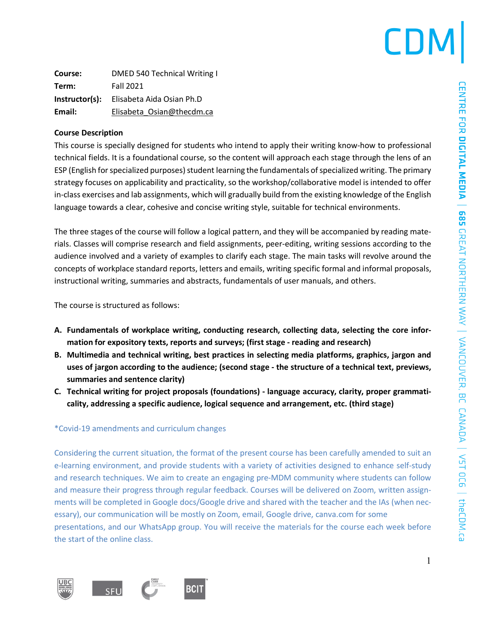# CDN

**Course:** DMED 540 Technical Writing I **Term:** Fall 2021 **Instructor(s):** Elisabeta Aida Osian Ph.D Email: Elisabeta Osian@thecdm.ca

#### **Course Description**

This course is specially designed for students who intend to apply their writing know-how to professional technical fields. It is a foundational course, so the content will approach each stage through the lens of an ESP (English for specialized purposes) student learning the fundamentals of specialized writing. The primary strategy focuses on applicability and practicality, so the workshop/collaborative model is intended to offer in-class exercises and lab assignments, which will gradually build from the existing knowledge of the English language towards a clear, cohesive and concise writing style, suitable for technical environments.

The three stages of the course will follow a logical pattern, and they will be accompanied by reading materials. Classes will comprise research and field assignments, peer-editing, writing sessions according to the audience involved and a variety of examples to clarify each stage. The main tasks will revolve around the concepts of workplace standard reports, letters and emails, writing specific formal and informal proposals, instructional writing, summaries and abstracts, fundamentals of user manuals, and others.

The course is structured as follows:

- **A. Fundamentals of workplace writing, conducting research, collecting data, selecting the core information for expository texts, reports and surveys; (first stage - reading and research)**
- **B. Multimedia and technical writing, best practices in selecting media platforms, graphics, jargon and uses of jargon according to the audience; (second stage - the structure of a technical text, previews, summaries and sentence clarity)**
- **C. Technical writing for project proposals (foundations) - language accuracy, clarity, proper grammaticality, addressing a specific audience, logical sequence and arrangement, etc. (third stage)**

#### \*Covid-19 amendments and curriculum changes

Considering the current situation, the format of the present course has been carefully amended to suit an e-learning environment, and provide students with a variety of activities designed to enhance self-study and research techniques. We aim to create an engaging pre-MDM community where students can follow and measure their progress through regular feedback. Courses will be delivered on Zoom, written assignments will be completed in Google docs/Google drive and shared with the teacher and the IAs (when necessary), our communication will be mostly on Zoom, email, Google drive, canva.com for some presentations, and our WhatsApp group. You will receive the materials for the course each week before the start of the online class.

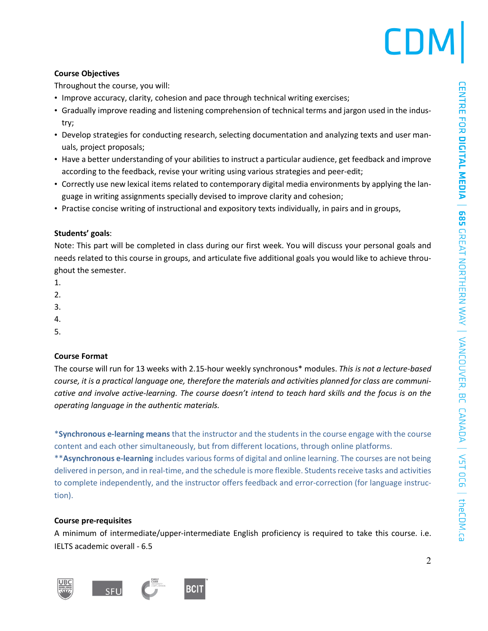# **Course Objectives**

Throughout the course, you will:

- Improve accuracy, clarity, cohesion and pace through technical writing exercises;
- Gradually improve reading and listening comprehension of technical terms and jargon used in the industry;
- Develop strategies for conducting research, selecting documentation and analyzing texts and user manuals, project proposals;
- Have a better understanding of your abilities to instruct a particular audience, get feedback and improve according to the feedback, revise your writing using various strategies and peer-edit;
- Correctly use new lexical items related to contemporary digital media environments by applying the language in writing assignments specially devised to improve clarity and cohesion;
- Practise concise writing of instructional and expository texts individually, in pairs and in groups,

### **Students' goals**:

Note: This part will be completed in class during our first week. You will discuss your personal goals and needs related to this course in groups, and articulate five additional goals you would like to achieve throughout the semester.

- 1.
- 2.
- 3.
- 4.
- 5.

# **Course Format**

The course will run for 13 weeks with 2.15-hour weekly synchronous\* modules. *This is not a lecture-based* course, it is a practical language one, therefore the materials and activities planned for class are communicative and involve active-learning. The course doesn't intend to teach hard skills and the focus is on the *operating language in the authentic materials.*

\***Synchronous e-learning means** that the instructor and the students in the course engage with the course content and each other simultaneously, but from different locations, through online platforms.

\*\***Asynchronous e-learning** includes various forms of digital and online learning. The courses are not being delivered in person, and in real-time, and the schedule is more flexible. Studentsreceive tasks and activities to complete independently, and the instructor offers feedback and error-correction (for language instruction).

# **Course pre-requisites**

A minimum of intermediate/upper-intermediate English proficiency is required to take this course. i.e. IELTS academic overall - 6.5

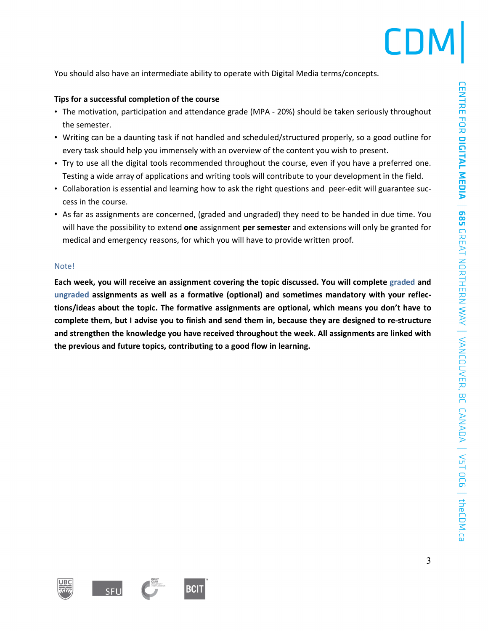

You should also have an intermediate ability to operate with Digital Media terms/concepts.

#### **Tips for a successful completion of the course**

- The motivation, participation and attendance grade (MPA 20%) should be taken seriously throughout the semester.
- Writing can be a daunting task if not handled and scheduled/structured properly, so a good outline for every task should help you immensely with an overview of the content you wish to present.
- Try to use all the digital tools recommended throughout the course, even if you have a preferred one. Testing a wide array of applications and writing tools will contribute to your development in the field.
- Collaboration is essential and learning how to ask the right questions and peer-edit will guarantee success in the course.
- As far as assignments are concerned, (graded and ungraded) they need to be handed in due time. You will have the possibility to extend **one** assignment **per semester** and extensions will only be granted for medical and emergency reasons, for which you will have to provide written proof.

#### Note!

**Each week, you will receive an assignment covering the topic discussed. You will complete graded and ungraded assignments as well as a formative (optional) and sometimes mandatory with your reflections/ideas about the topic. The formative assignments are optional, which means you don't have to** complete them, but I advise you to finish and send them in, because they are designed to re-structure **and strengthen the knowledge you have received throughout the week. All assignments are linked with the previous and future topics, contributing to a good flow in learning.**



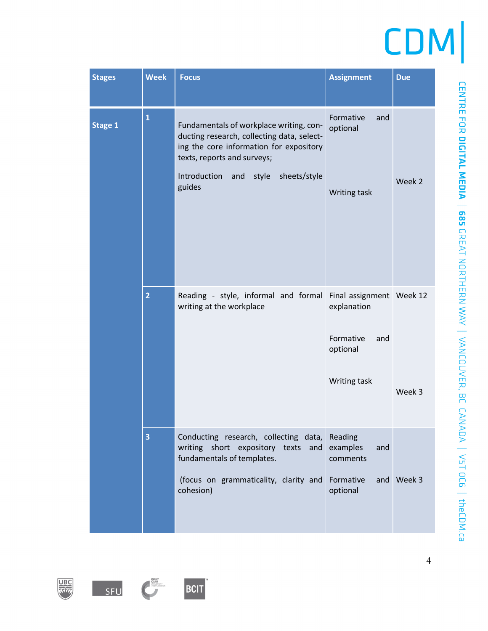| <b>Stages</b> | <b>Week</b>    | <b>Focus</b>                                                                                                                                                                                                              | <b>Assignment</b>                                                                       | <b>Due</b> |
|---------------|----------------|---------------------------------------------------------------------------------------------------------------------------------------------------------------------------------------------------------------------------|-----------------------------------------------------------------------------------------|------------|
| Stage 1       | $\mathbf{1}$   | Fundamentals of workplace writing, con-<br>ducting research, collecting data, select-<br>ing the core information for expository<br>texts, reports and surveys;<br>Introduction<br>sheets/style<br>style<br>and<br>guides | Formative<br>and<br>optional<br>Writing task                                            | Week 2     |
|               | $\overline{2}$ | Reading - style, informal and formal<br>writing at the workplace                                                                                                                                                          | Final assignment Week 12<br>explanation<br>Formative<br>and<br>optional<br>Writing task | Week 3     |
|               | 3              | Conducting research, collecting data,<br>writing short expository texts and<br>fundamentals of templates.<br>(focus on grammaticality, clarity and<br>cohesion)                                                           | Reading<br>examples<br>and<br>comments<br>Formative<br>optional                         | and Week 3 |







CENTRE FOR DICITAL MEDIA | 685 GREAT NORTHERN WAY | VANCOUVER, BC CANADA | V5T OC6 | theCDM.ca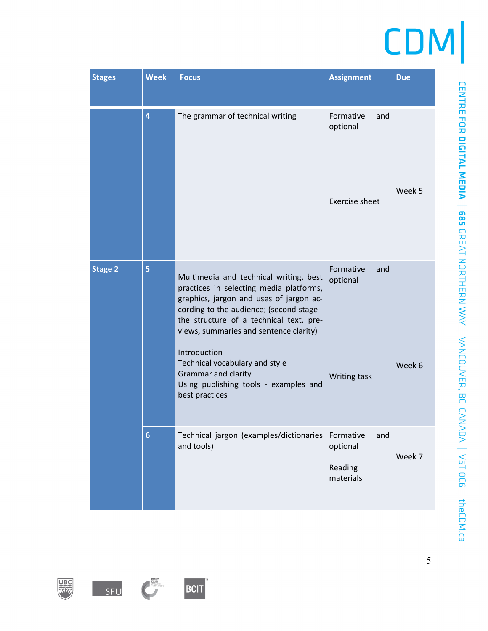| <b>Stages</b>  | <b>Week</b>     | <b>Focus</b>                                                                                                                                                                                                                                                                                                                                                                                             | <b>Assignment</b>                                     | <b>Due</b> |
|----------------|-----------------|----------------------------------------------------------------------------------------------------------------------------------------------------------------------------------------------------------------------------------------------------------------------------------------------------------------------------------------------------------------------------------------------------------|-------------------------------------------------------|------------|
|                | 4               | The grammar of technical writing                                                                                                                                                                                                                                                                                                                                                                         | Formative<br>and<br>optional<br><b>Exercise sheet</b> | Week 5     |
| <b>Stage 2</b> | 5               | Multimedia and technical writing, best<br>practices in selecting media platforms,<br>graphics, jargon and uses of jargon ac-<br>cording to the audience; (second stage -<br>the structure of a technical text, pre-<br>views, summaries and sentence clarity)<br>Introduction<br>Technical vocabulary and style<br><b>Grammar and clarity</b><br>Using publishing tools - examples and<br>best practices | Formative<br>and<br>optional<br>Writing task          | Week 6     |
|                | $6\phantom{1}6$ | Technical jargon (examples/dictionaries Formative<br>and tools)                                                                                                                                                                                                                                                                                                                                          | and<br>optional<br>Reading<br>materials               | Week 7     |

5





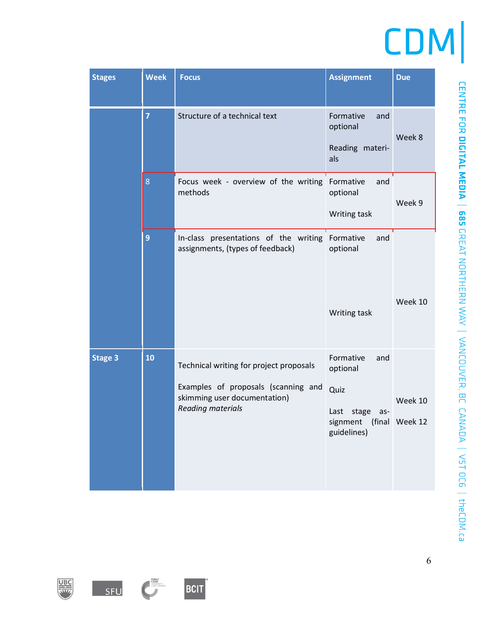| <b>Stages</b>  | <b>Week</b>    | <b>Focus</b>                                                                                                                        | <b>Assignment</b>                                                                       | <b>Due</b>                |
|----------------|----------------|-------------------------------------------------------------------------------------------------------------------------------------|-----------------------------------------------------------------------------------------|---------------------------|
|                | $\overline{7}$ | Structure of a technical text                                                                                                       | Formative<br>and<br>optional<br>Reading materi-<br>als                                  | Week 8                    |
|                | 8              | Focus week - overview of the writing<br>methods                                                                                     | Formative<br>and<br>optional<br>Writing task                                            | Week 9                    |
|                | 9              | In-class presentations of the writing<br>assignments, (types of feedback)                                                           | Formative<br>and<br>optional<br>Writing task                                            | Week 10                   |
| <b>Stage 3</b> | 10             | Technical writing for project proposals<br>Examples of proposals (scanning and<br>skimming user documentation)<br>Reading materials | Formative<br>and<br>optional<br>Quiz<br>Last<br>stage<br>as-<br>signment<br>guidelines) | Week 10<br>(final Week 12 |

EMILY<br>CHARR<br>ORE CARE OBSITY

SFU

BCIT

**UBC**<br>RFF

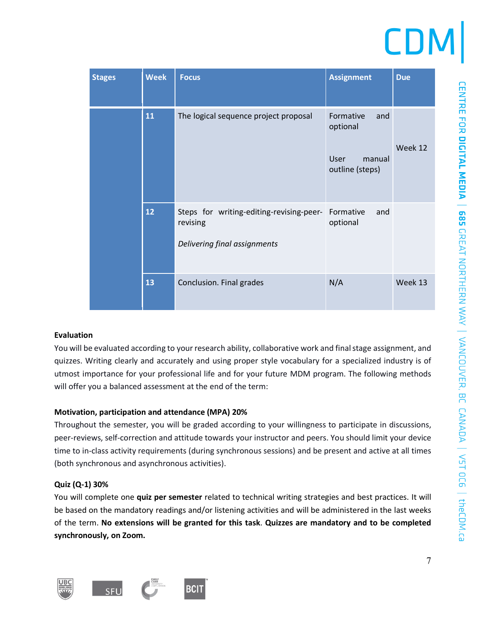| <b>Stages</b> | <b>Week</b> | <b>Focus</b>                                                                         | <b>Assignment</b>                                                 | <b>Due</b> |
|---------------|-------------|--------------------------------------------------------------------------------------|-------------------------------------------------------------------|------------|
|               | 11          | The logical sequence project proposal                                                | Formative<br>and<br>optional<br>User<br>manual<br>outline (steps) | Week 12    |
|               | 12          | Steps for writing-editing-revising-peer-<br>revising<br>Delivering final assignments | Formative<br>and<br>optional                                      |            |
|               | 13          | Conclusion. Final grades                                                             | N/A                                                               | Week 13    |

#### **Evaluation**

You will be evaluated according to your research ability, collaborative work and final stage assignment, and quizzes. Writing clearly and accurately and using proper style vocabulary for a specialized industry is of utmost importance for your professional life and for your future MDM program. The following methods will offer you a balanced assessment at the end of the term:

# **Motivation, participation and attendance (MPA) 20%**

Throughout the semester, you will be graded according to your willingness to participate in discussions, peer-reviews, self-correction and attitude towards your instructor and peers. You should limit your device time to in-class activity requirements (during synchronous sessions) and be present and active at all times (both synchronous and asynchronous activities).

# **Quiz (Q-1) 30%**

You will complete one **quiz per semester** related to technical writing strategies and best practices. It will be based on the mandatory readings and/or listening activities and will be administered in the last weeks of the term. **No extensions will be granted for this task**. **Quizzes are mandatory and to be completed synchronously, on Zoom.**



CENTRE FOR DIGINAL MEDIA | VST 0C6 | theCDDVER, BC CANAD VANCOUVER, BC CANADA | VST 0C6 | theCDDI.ca